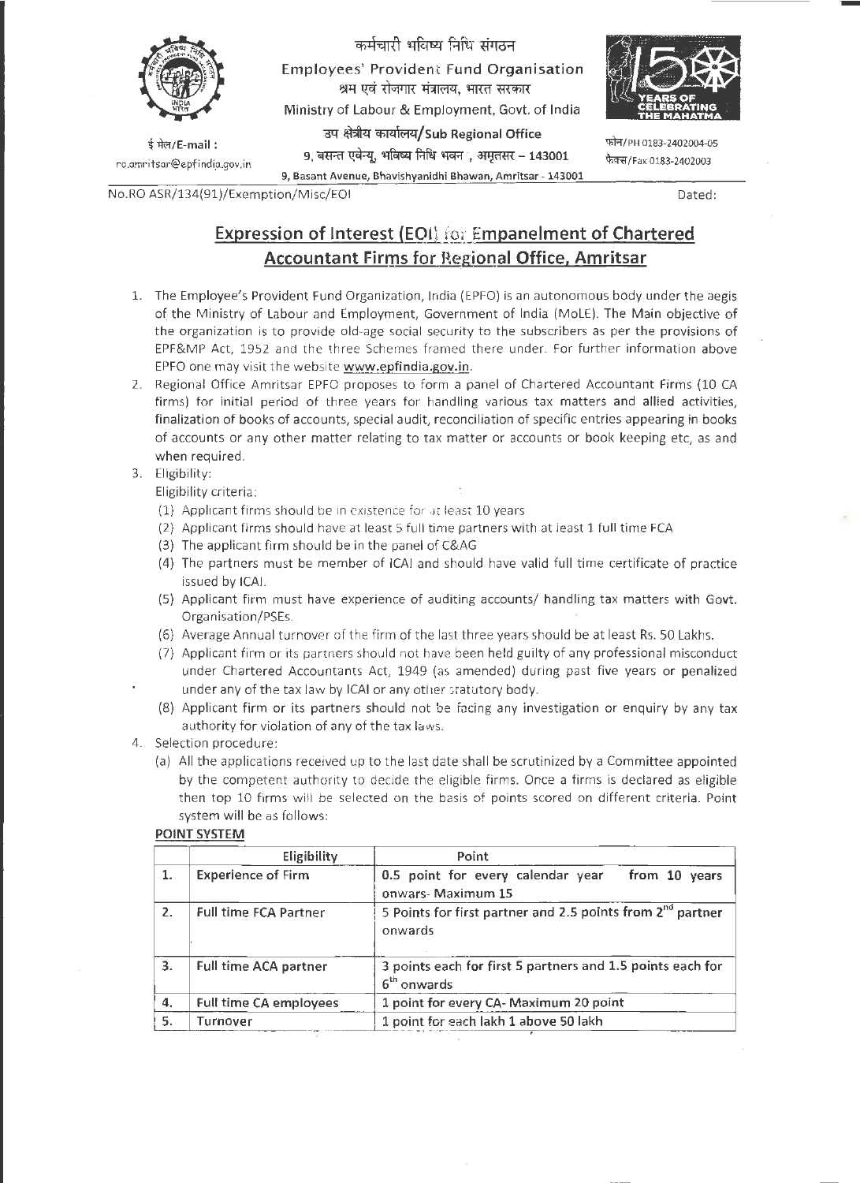

ई मेल/E-mail: ro.amritsar@epfindia.gov.in

कर्मचारी भविष्य निधि संगठन Employees' Provident Fund Organisation<br>श्रम एवं रोजगार मंत्रालय, भारत सरकार Ministry of Labour & Employment, Govt. of India उप क्षेत्रीय कार्यालय/Sub Regional Office 9. बसन्त एवेन्यू, भविष्य निधि भवन , अमृतसर - 143001



--

फोन/PH 0183-2402004-05 फैक्स/ Fax 0183-2402003

9, Basant Avenue, Bhavishyanidhi Bhawan, Amritsar - 143001 No.RO ASR/134(91}/Exemption/Misc/EOI

Dated:

# **Expression of Interest (EOI) for Empanelment of Chartered Accountant Firms for Regional Office, Amritsar**

- 1. The Employee's Provident Fund Organization, India (EPFO) is an autonomous body under the aegis of the Ministry of Labour and Employment, Government of India (MoLE). The Main objective of the organization is to provide old-age social security to the subscribers as per the provisions of EPF&MP Act, 1952 and the three Schemes framed there under. For further information above EPFO one may visit the website **www.epfindia.gov.in.**
- 2. Regional Office Amritsar EPFO proposes to form a panel of Chartered Accountant Firms (10 CA firms) for initial period of three years for handling various tax matters and allied activities, finalization of books of accounts, special audit, reconciliation of specific entries appearing in books of accounts or any other matter relating to tax matter or accounts or book keeping etc, as and when required.

# 3. Eligibility:

Eligibility criteria:

- (1) Applicant firms should be in existence for  $\mu$ t least 10 years
- (2) Applicant firms should have at least 5 full time partners with at least 1 full time FCA
- (3) The applicant firm should be in the panel of C&AG
- (4) The partners must be member of ICAI and should have valid full time certificate of practice issued by ICAI.
- (5) Applicant firm must have experience of auditing accounts/ handling tax matters with Govt. Organisation/PSEs.
- (6) Average Annual turnover of the firm of the last three years should be at least Rs. 50 Lakhs.
- (7) Applicant firm or its partners should not have been held guilty of any professional misconduct under Chartered Accountants Act, 1949 (as amended) during past five years or penalized under any of the tax law by ICAI or any other statutory body.
- (8) Applicant firm or its partners should not be facing any investigation or enquiry by any tax authority for violation of any of the tax laws.
- 4. Selection procedure:
	- (a) All the applications received up to the last date shall be scrutinized by a Committee appointed by the competent authority to decide the eligible firms. Once a firms is declared as eligible then top 10 firms will be selected on the basis of points scored on different criteria. Point system will be as follows:

### **POINT SYSTEM**

|                  | <b>Eligibility</b>            | Point                                                                             |  |
|------------------|-------------------------------|-----------------------------------------------------------------------------------|--|
|                  | <b>Experience of Firm</b>     | 0.5 point for every calendar year<br>from 10 years<br>onwars- Maximum 15          |  |
| $\overline{z}$ . | <b>Full time FCA Partner</b>  | 5 Points for first partner and 2.5 points from 2 <sup>nd</sup> partner<br>onwards |  |
| 3.               | <b>Full time ACA partner</b>  | 3 points each for first 5 partners and 1.5 points each for<br>$6th$ onwards       |  |
| 4.               | <b>Full time CA employees</b> | 1 point for every CA- Maximum 20 point                                            |  |
| 5.               | Turnover                      | 1 point for each lakh 1 above 50 lakh                                             |  |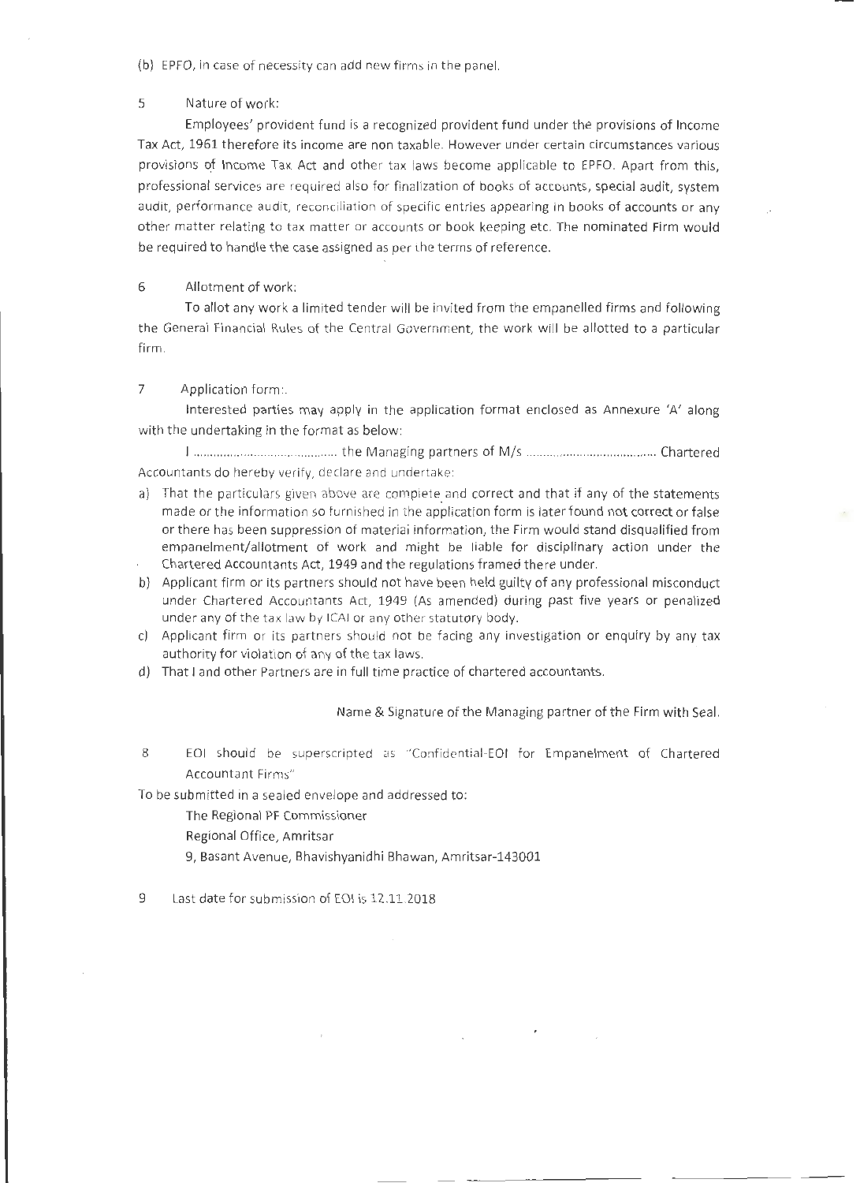(b) EPFO, in case of necessity can add new firms in the panel.

#### 5 Nature of work:

Employees' provident fund is a recognized provident fund under the provisions of Income Tax Act, 1961 therefore its income are non taxable. However under certain circumstances various provisions of Income Tax Act and other tax laws become applicable to EPFO. Apart from this, professional services are required also for finalization of books of accounts, special audit, system audit, performance audit, reconciliation of specific entries appearing in books of accounts or any other matter relating to tax matter or accounts or book keeping etc. The nominated Firm would be required to handle the case assigned as per the terms of reference.

#### 6 Allotment of work:

To allot any work a limited tender will be invited from the empanelled firms and following the General Financial Rules of the Central Government, the work will be allotted to a particular firm.

#### 7 Application form:.

Interested parties may apply in the application format enclosed as Annexure 'A' along with the undertaking in the format as below:

I ........................................... the Managing partners of M/s ....................................... Chartered Accountants do hereby verify, declare and undertake:

- a) That the particulars given above are complete and correct and that if any of the statements made or the information so furnished in the application form is later found not correct or false or there has been suppression of materiai information, the Firm would stand disqualified from empanelment/allotment of work and might be liable for disciplinary action under the Chartered Accountants Act, 1949 and the regulations framed there under.
- b) Applicant firm or its partners should not have been held guilty of any professional misconduct under Chartered Accountants Act, 1949 (As amended) during past five years or penalized under any of the tax law by ICAI or any other statutory body.
- c) Applicant firm or its partners should not be facing any investigation or enquiry by any tax authority for violation of any of the tax laws.
- d) That I and other Partners are in full time practice of chartered accountants.

## Name & Signature of the Managing partner of the Firm with Seal.

8 EOI should be superscripted as ''Confidential-EOI for Empanelment of Chartered Accountant Firms"

To be submitted in a sealed envelope and addressed to:

The Regional PF Commissioner

Regional Office, Amritsar

9, Basant Avenue, Bhavishyanidhi Bhawan, Amritsar-143001

9 Last date for submission of EOI is 12.11.2018